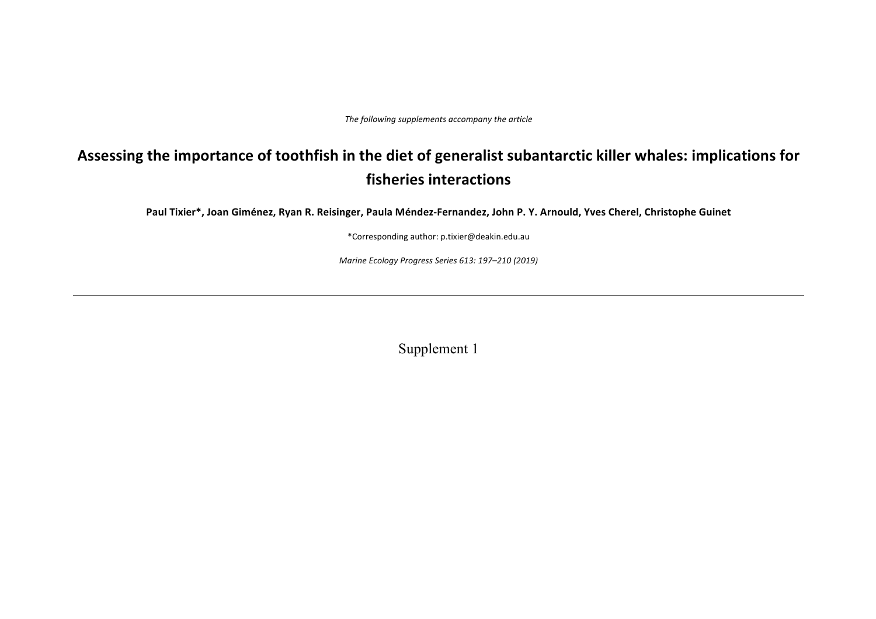The following supplements accompany the article

# Assessing the importance of toothfish in the diet of generalist subantarctic killer whales: implications for **fisheries interactions**

Paul Tixier\*, Joan Giménez, Ryan R. Reisinger, Paula Méndez-Fernandez, John P. Y. Arnould, Yves Cherel, Christophe Guinet

\*Corresponding author: p.tixier@deakin.edu.au

*Marine Ecology Progress Series 613: 197–210 (2019)*

Supplement 1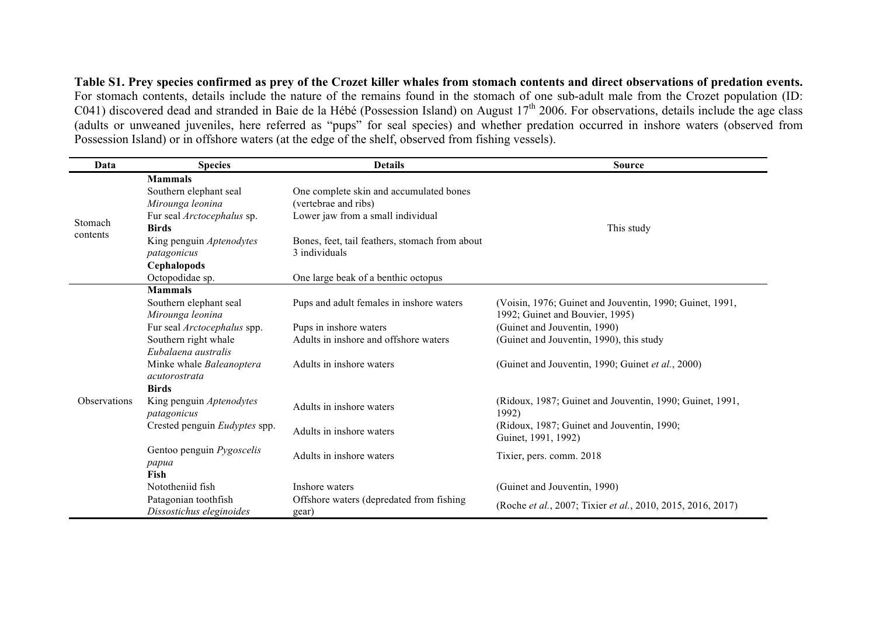**Table S1. Prey species confirmed as prey of the Crozet killer whales from stomach contents and direct observations of predation events.** For stomach contents, details include the nature of the remains found in the stomach of one sub-adult male from the Crozet population (ID: C041) discovered dead and stranded in Baie de la Hébé (Possession Island) on August  $17<sup>th</sup>$  2006. For observations, details include the age class (adults or unweaned juveniles, here referred as "pups" for seal species) and whether predation occurred in inshore waters (observed from Possession Island) or in offshore waters (at the edge of the shelf, observed from fishing vessels).

| Data                | <b>Details</b><br><b>Species</b>                 |                                                | <b>Source</b>                                               |  |  |  |  |
|---------------------|--------------------------------------------------|------------------------------------------------|-------------------------------------------------------------|--|--|--|--|
|                     | <b>Mammals</b>                                   |                                                |                                                             |  |  |  |  |
| Stomach<br>contents | Southern elephant seal                           | One complete skin and accumulated bones        |                                                             |  |  |  |  |
|                     | Mirounga leonina                                 | (vertebrae and ribs)                           | This study                                                  |  |  |  |  |
|                     | Fur seal Arctocephalus sp.                       | Lower jaw from a small individual              |                                                             |  |  |  |  |
|                     | <b>Birds</b>                                     |                                                |                                                             |  |  |  |  |
|                     | King penguin Aptenodytes                         | Bones, feet, tail feathers, stomach from about |                                                             |  |  |  |  |
|                     | patagonicus                                      | 3 individuals                                  |                                                             |  |  |  |  |
|                     | Cephalopods                                      |                                                |                                                             |  |  |  |  |
|                     | Octopodidae sp.                                  | One large beak of a benthic octopus            |                                                             |  |  |  |  |
|                     | <b>Mammals</b>                                   |                                                |                                                             |  |  |  |  |
|                     | Southern elephant seal                           | Pups and adult females in inshore waters       | (Voisin, 1976; Guinet and Jouventin, 1990; Guinet, 1991,    |  |  |  |  |
|                     | Mirounga leonina                                 |                                                | 1992; Guinet and Bouvier, 1995)                             |  |  |  |  |
|                     | Fur seal Arctocephalus spp.                      | Pups in inshore waters                         | (Guinet and Jouventin, 1990)                                |  |  |  |  |
|                     | Southern right whale                             | Adults in inshore and offshore waters          | (Guinet and Jouventin, 1990), this study                    |  |  |  |  |
|                     | Eubalaena australis                              |                                                |                                                             |  |  |  |  |
|                     | Minke whale Baleanoptera                         | Adults in inshore waters                       | (Guinet and Jouventin, 1990; Guinet et al., 2000)           |  |  |  |  |
|                     | acutorostrata                                    |                                                |                                                             |  |  |  |  |
|                     | <b>Birds</b>                                     |                                                |                                                             |  |  |  |  |
| Observations        | King penguin Aptenodytes                         | Adults in inshore waters                       | (Ridoux, 1987; Guinet and Jouventin, 1990; Guinet, 1991,    |  |  |  |  |
|                     | patagonicus                                      |                                                | 1992)                                                       |  |  |  |  |
|                     | Crested penguin Eudyptes spp.                    | Adults in inshore waters                       | (Ridoux, 1987; Guinet and Jouventin, 1990;                  |  |  |  |  |
|                     |                                                  |                                                | Guinet, 1991, 1992)                                         |  |  |  |  |
|                     | Gentoo penguin <i>Pygoscelis</i>                 | Adults in inshore waters                       | Tixier, pers. comm. 2018                                    |  |  |  |  |
|                     | papua<br>Fish                                    |                                                |                                                             |  |  |  |  |
|                     | Nototheniid fish                                 | Inshore waters                                 |                                                             |  |  |  |  |
|                     |                                                  |                                                | (Guinet and Jouventin, 1990)                                |  |  |  |  |
|                     | Patagonian toothfish<br>Dissostichus eleginoides | Offshore waters (depredated from fishing)      | (Roche et al., 2007; Tixier et al., 2010, 2015, 2016, 2017) |  |  |  |  |
|                     |                                                  | gear)                                          |                                                             |  |  |  |  |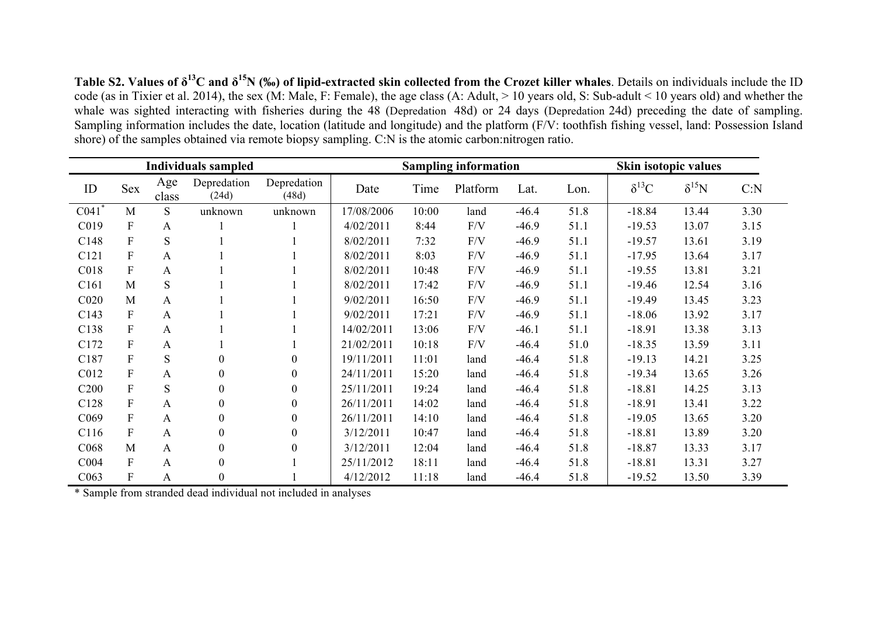**Table S2. Values of δ13C and δ15N (‰) of lipid-extracted skin collected from the Crozet killer whales**. Details on individuals include the ID code (as in Tixier et al. 2014), the sex (M: Male, F: Female), the age class (A: Adult, > 10 years old, S: Sub-adult < 10 years old) and whether the whale was sighted interacting with fisheries during the 48 (Depredation 48d) or 24 days (Depredation 24d) preceding the date of sampling. Sampling information includes the date, location (latitude and longitude) and the platform (F/V: toothfish fishing vessel, land: Possession Island shore) of the samples obtained via remote biopsy sampling. C:N is the atomic carbon:nitrogen ratio.

| <b>Individuals sampled</b> |                           |              |                      | <b>Sampling information</b> |            |       |          | Skin isotopic values |      |                |                |      |
|----------------------------|---------------------------|--------------|----------------------|-----------------------------|------------|-------|----------|----------------------|------|----------------|----------------|------|
| ID                         | <b>Sex</b>                | Age<br>class | Depredation<br>(24d) | Depredation<br>(48d)        | Date       | Time  | Platform | Lat.                 | Lon. | $\delta^{13}C$ | $\delta^{15}N$ | C: N |
| C <sub>041</sub>           | M                         | S            | unknown              | unknown                     | 17/08/2006 | 10:00 | land     | $-46.4$              | 51.8 | $-18.84$       | 13.44          | 3.30 |
| C019                       | $\boldsymbol{F}$          | A            |                      |                             | 4/02/2011  | 8:44  | F/V      | $-46.9$              | 51.1 | $-19.53$       | 13.07          | 3.15 |
| C148                       | $\boldsymbol{F}$          | S            |                      |                             | 8/02/2011  | 7:32  | F/V      | $-46.9$              | 51.1 | $-19.57$       | 13.61          | 3.19 |
| C <sub>121</sub>           | ${\bf F}$                 | A            |                      |                             | 8/02/2011  | 8:03  | F/V      | $-46.9$              | 51.1 | $-17.95$       | 13.64          | 3.17 |
| C018                       | ${\bf F}$                 | A            |                      |                             | 8/02/2011  | 10:48 | F/V      | $-46.9$              | 51.1 | $-19.55$       | 13.81          | 3.21 |
| C <sub>161</sub>           | M                         | S            |                      |                             | 8/02/2011  | 17:42 | F/V      | $-46.9$              | 51.1 | $-19.46$       | 12.54          | 3.16 |
| C <sub>020</sub>           | M                         | A            |                      |                             | 9/02/2011  | 16:50 | F/V      | $-46.9$              | 51.1 | $-19.49$       | 13.45          | 3.23 |
| C <sub>143</sub>           | ${\bf F}$                 | A            |                      |                             | 9/02/2011  | 17:21 | F/V      | $-46.9$              | 51.1 | $-18.06$       | 13.92          | 3.17 |
| C138                       | $\boldsymbol{F}$          | A            |                      |                             | 14/02/2011 | 13:06 | F/V      | $-46.1$              | 51.1 | $-18.91$       | 13.38          | 3.13 |
| C172                       | ${\bf F}$                 | A            |                      |                             | 21/02/2011 | 10:18 | F/V      | $-46.4$              | 51.0 | $-18.35$       | 13.59          | 3.11 |
| C187                       | ${\bf F}$                 | S            | $\theta$             | $\boldsymbol{0}$            | 19/11/2011 | 11:01 | land     | $-46.4$              | 51.8 | $-19.13$       | 14.21          | 3.25 |
| C012                       | $\boldsymbol{F}$          | A            | $\theta$             | $\mathbf{0}$                | 24/11/2011 | 15:20 | land     | $-46.4$              | 51.8 | $-19.34$       | 13.65          | 3.26 |
| C <sub>200</sub>           | $\boldsymbol{F}$          | S            | $\boldsymbol{0}$     | $\boldsymbol{0}$            | 25/11/2011 | 19:24 | land     | $-46.4$              | 51.8 | $-18.81$       | 14.25          | 3.13 |
| C128                       | $\boldsymbol{\mathrm{F}}$ | A            | $\overline{0}$       | $\overline{0}$              | 26/11/2011 | 14:02 | land     | $-46.4$              | 51.8 | $-18.91$       | 13.41          | 3.22 |
| C <sub>069</sub>           | $\overline{F}$            | A            | $\theta$             | $\mathbf{0}$                | 26/11/2011 | 14:10 | land     | $-46.4$              | 51.8 | $-19.05$       | 13.65          | 3.20 |
| C <sub>116</sub>           | ${\bf F}$                 | A            | $\boldsymbol{0}$     | $\boldsymbol{0}$            | 3/12/2011  | 10:47 | land     | $-46.4$              | 51.8 | $-18.81$       | 13.89          | 3.20 |
| C <sub>068</sub>           | M                         | $\mathbf{A}$ | $\theta$             | $\mathbf{0}$                | 3/12/2011  | 12:04 | land     | $-46.4$              | 51.8 | $-18.87$       | 13.33          | 3.17 |
| C <sub>004</sub>           | ${\bf F}$                 | A            | $\theta$             |                             | 25/11/2012 | 18:11 | land     | $-46.4$              | 51.8 | $-18.81$       | 13.31          | 3.27 |
| C063                       | $\boldsymbol{F}$          | A            | $\boldsymbol{0}$     |                             | 4/12/2012  | 11:18 | land     | $-46.4$              | 51.8 | $-19.52$       | 13.50          | 3.39 |

\* Sample from stranded dead individual not included in analyses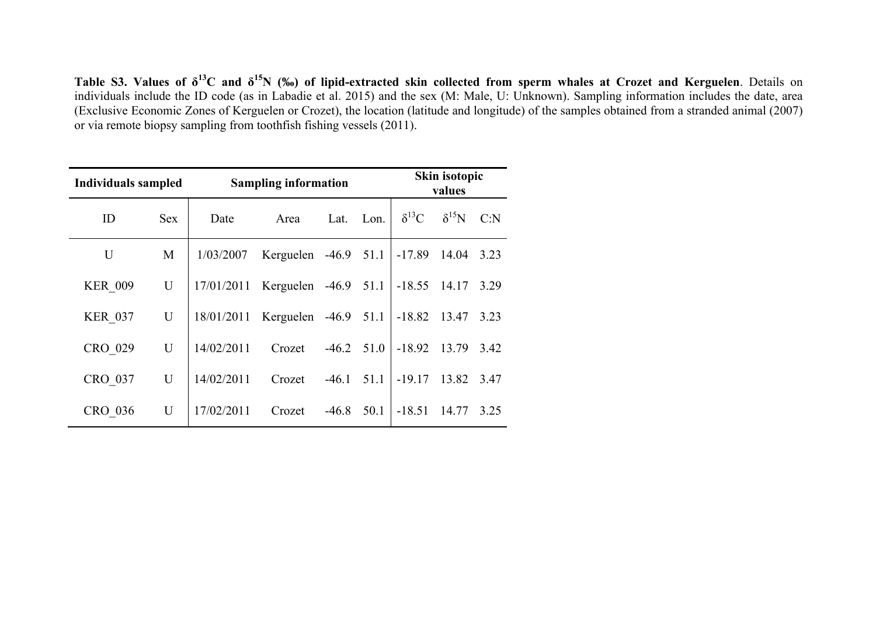**Table S3. Values of δ13C and δ15N (‰) of lipid-extracted skin collected from sperm whales at Crozet and Kerguelen**. Details on individuals include the ID code (as in Labadie et al. 2015) and the sex (M: Male, U: Unknown). Sampling information includes the date, area (Exclusive Economic Zones of Kerguelen or Crozet), the location (latitude and longitude) of the samples obtained from a stranded animal (2007) or via remote biopsy sampling from toothfish fishing vessels (2011).

| Individuals sampled |            | <b>Sampling information</b> | Skin isotopic<br>values |              |      |                |                |      |
|---------------------|------------|-----------------------------|-------------------------|--------------|------|----------------|----------------|------|
| ID                  | <b>Sex</b> | Date                        | Area                    | Lat.         | Lon. | $\delta^{13}C$ | $\delta^{15}N$ | C: N |
| U                   | M          | 1/03/2007                   | Kerguelen $-46.9$ 51.1  |              |      | $-17.89$ 14.04 |                | 3.23 |
| <b>KER 009</b>      | U          | 17/01/2011                  | Kerguelen               | $-46.9$ 51.1 |      | $-18.55$ 14.17 |                | 3.29 |
| <b>KER 037</b>      | U          |                             | $18/01/2011$ Kerguelen  | $-46.9$ 51.1 |      | $-18.82$ 13.47 |                | 3.23 |
| CRO 029             | U          | 14/02/2011                  | Crozet                  | $-46.2$ 51.0 |      | $-18.92$ 13.79 |                | 3.42 |
| CRO 037             | U          | 14/02/2011                  | Crozet                  | $-46.1$      | 51.1 | $-19.17$       | 13.82          | 3.47 |
| CRO 036             | U          | 17/02/2011                  | Crozet                  | $-46.8$      | 50.1 | $-18.51$       | 14.77          | 3.25 |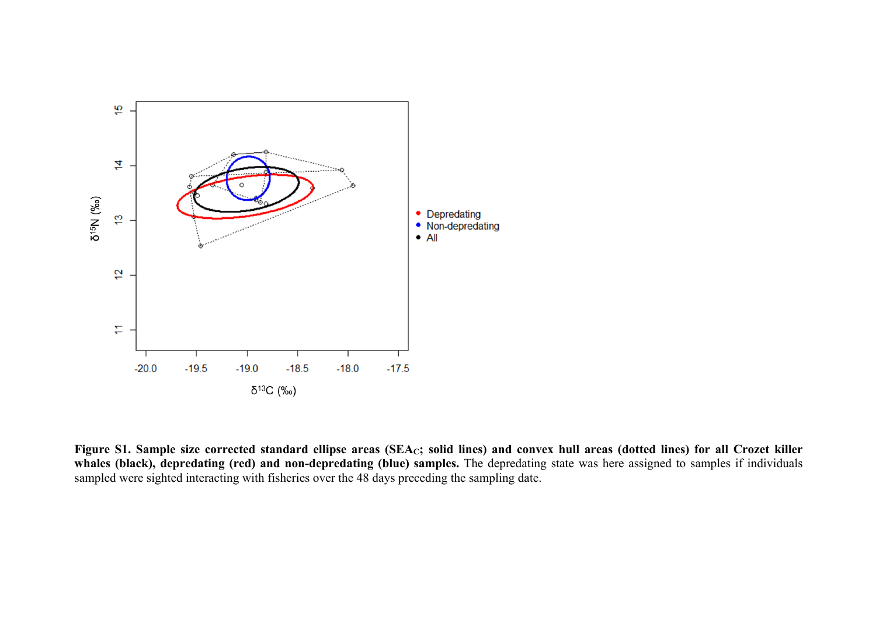

Figure S1. Sample size corrected standard ellipse areas (SEA<sub>C</sub>; solid lines) and convex hull areas (dotted lines) for all Crozet killer **whales (black), depredating (red) and non-depredating (blue) samples.** The depredating state was here assigned to samples if individuals sampled were sighted interacting with fisheries over the 48 days preceding the sampling date.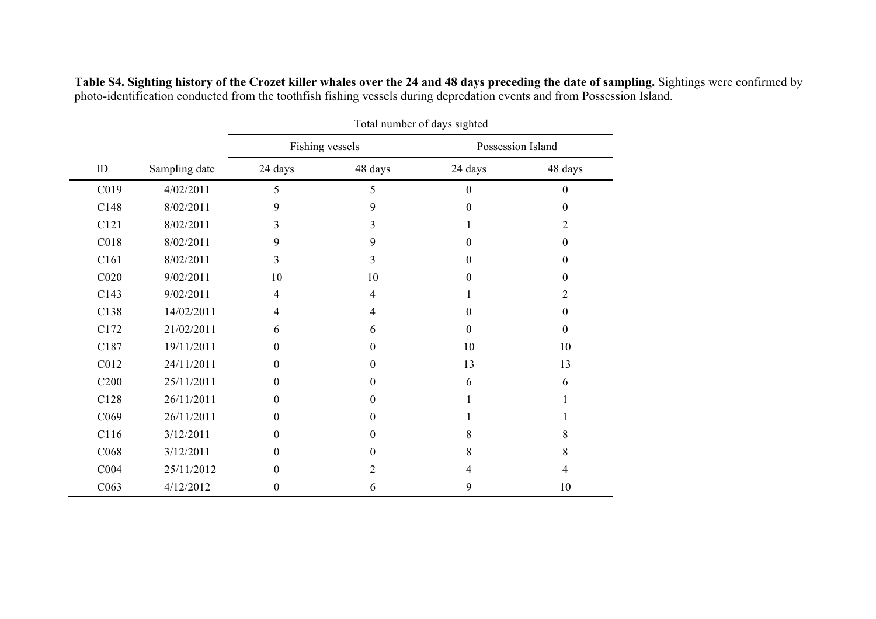|                  |               | Total number of days sighted |                 |                   |              |  |  |
|------------------|---------------|------------------------------|-----------------|-------------------|--------------|--|--|
|                  |               |                              | Fishing vessels | Possession Island |              |  |  |
| ID               | Sampling date | 24 days                      | 48 days         | 24 days           | 48 days      |  |  |
| C019             | 4/02/2011     | 5                            | 5               | $\boldsymbol{0}$  | $\mathbf{0}$ |  |  |
| C148             | 8/02/2011     | 9                            | 9               | $\theta$          | $\theta$     |  |  |
| C121             | 8/02/2011     | 3                            | 3               |                   | 2            |  |  |
| C018             | 8/02/2011     | 9                            | 9               | $\theta$          | $\theta$     |  |  |
| C161             | 8/02/2011     | 3                            | 3               | $\theta$          | $\theta$     |  |  |
| C <sub>020</sub> | 9/02/2011     | 10                           | 10              | $\Omega$          | $\theta$     |  |  |
| C143             | 9/02/2011     | 4                            | 4               |                   | 2            |  |  |
| C138             | 14/02/2011    | 4                            | 4               | $\theta$          | $\theta$     |  |  |
| C172             | 21/02/2011    | 6                            | 6               | $\theta$          | $\mathbf{0}$ |  |  |
| C187             | 19/11/2011    | $\Omega$                     | $\Omega$        | 10                | 10           |  |  |
| C012             | 24/11/2011    | $\boldsymbol{0}$             | $\theta$        | 13                | 13           |  |  |
| C <sub>200</sub> | 25/11/2011    | $\theta$                     | $\theta$        | 6                 | 6            |  |  |
| C128             | 26/11/2011    | $\Omega$                     | $\Omega$        |                   |              |  |  |
| C069             | 26/11/2011    | $\Omega$                     | $\Omega$        |                   |              |  |  |
| C116             | 3/12/2011     | $\Omega$                     | $\theta$        | 8                 | 8            |  |  |
| C068             | 3/12/2011     | 0                            | $\Omega$        | 8                 | 8            |  |  |
| C <sub>004</sub> | 25/11/2012    | $\Omega$                     | 2               | 4                 | 4            |  |  |
| C063             | 4/12/2012     | $\boldsymbol{0}$             | 6               | 9                 | 10           |  |  |

**Table S4. Sighting history of the Crozet killer whales over the 24 and 48 days preceding the date of sampling.** Sightings were confirmed by photo-identification conducted from the toothfish fishing vessels during depredation events and from Possession Island.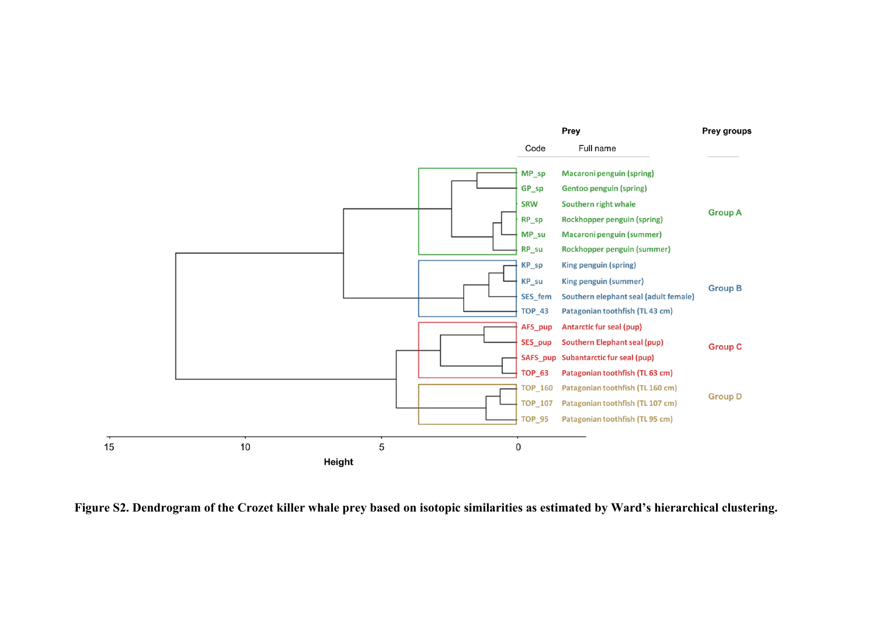

**Figure S2. Dendrogram of the Crozet killer whale prey based on isotopic similarities as estimated by Ward's hierarchical clustering.**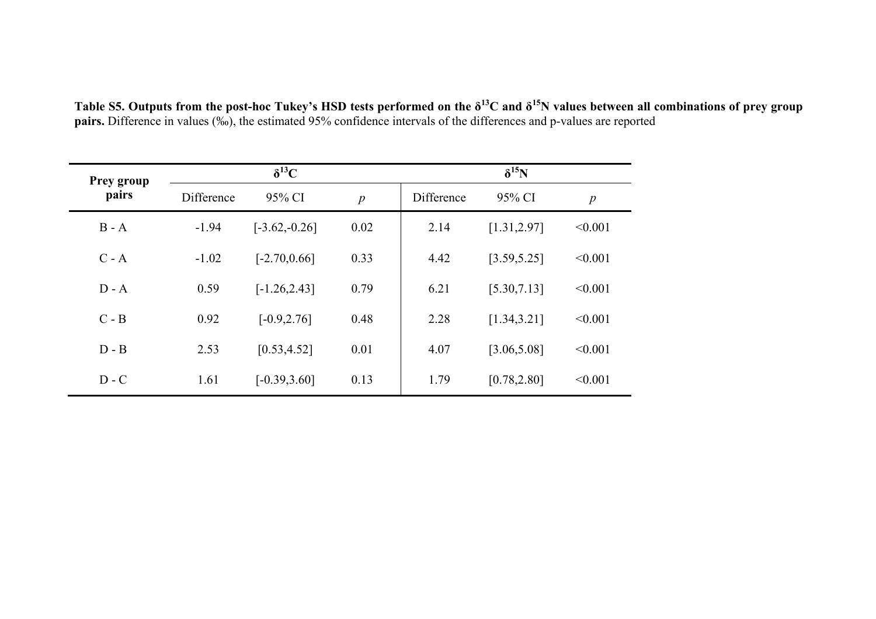| Table S5. Outputs from the post-hoc Tukey's HSD tests performed on the $\delta^{13}C$ and $\delta^{15}N$ values between all combinations of prey group |
|--------------------------------------------------------------------------------------------------------------------------------------------------------|
| <b>pairs.</b> Difference in values (‰), the estimated 95% confidence intervals of the differences and p-values are reported                            |

| <b>Prey group</b> |            | $\delta^{13}C$  |                  | $\delta^{15}N$ |              |                  |  |
|-------------------|------------|-----------------|------------------|----------------|--------------|------------------|--|
| pairs             | Difference | 95% CI          | $\boldsymbol{p}$ | Difference     | 95% CI       | $\boldsymbol{p}$ |  |
| $B - A$           | $-1.94$    | $[-3.62,-0.26]$ | 0.02             | 2.14           | [1.31, 2.97] | < 0.001          |  |
| $C - A$           | $-1.02$    | $[-2.70, 0.66]$ | 0.33             | 4.42           | [3.59, 5.25] | < 0.001          |  |
| $D - A$           | 0.59       | $[-1.26, 2.43]$ | 0.79             | 6.21           | [5.30, 7.13] | < 0.001          |  |
| $C - B$           | 0.92       | $[-0.9, 2.76]$  | 0.48             | 2.28           | [1.34, 3.21] | < 0.001          |  |
| $D - B$           | 2.53       | [0.53, 4.52]    | 0.01             | 4.07           | [3.06, 5.08] | < 0.001          |  |
| $D - C$           | 1.61       | $[-0.39, 3.60]$ | 0.13             | 1.79           | [0.78, 2.80] | < 0.001          |  |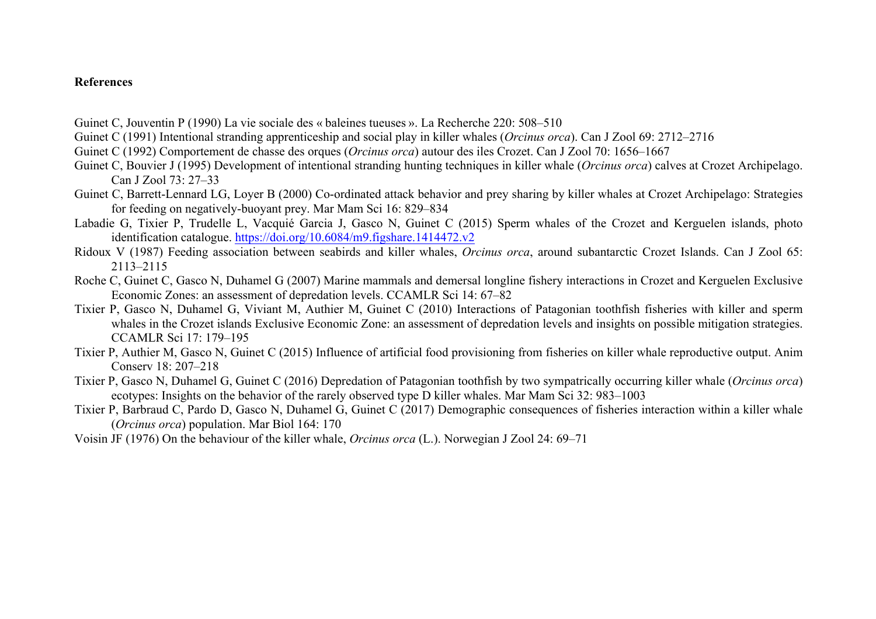## **References**

Guinet C, Jouventin P (1990) La vie sociale des « baleines tueuses ». La Recherche 220: 508–510

- Guinet C (1991) Intentional stranding apprenticeship and social play in killer whales (*Orcinus orca*). Can J Zool 69: 2712–2716
- Guinet C (1992) Comportement de chasse des orques (*Orcinus orca*) autour des iles Crozet. Can J Zool 70: 1656–1667
- Guinet C, Bouvier J (1995) Development of intentional stranding hunting techniques in killer whale (*Orcinus orca*) calves at Crozet Archipelago. Can J Zool 73: 27–33
- Guinet C, Barrett-Lennard LG, Loyer B (2000) Co-ordinated attack behavior and prey sharing by killer whales at Crozet Archipelago: Strategies for feeding on negatively-buoyant prey. Mar Mam Sci 16: 829–834
- Labadie G, Tixier P, Trudelle L, Vacquié Garcia J, Gasco N, Guinet C (2015) Sperm whales of the Crozet and Kerguelen islands, photo identification catalogue. https://doi.org/10.6084/m9.figshare.1414472.v2
- Ridoux V (1987) Feeding association between seabirds and killer whales, *Orcinus orca*, around subantarctic Crozet Islands. Can J Zool 65: 2113–2115
- Roche C, Guinet C, Gasco N, Duhamel G (2007) Marine mammals and demersal longline fishery interactions in Crozet and Kerguelen Exclusive Economic Zones: an assessment of depredation levels. CCAMLR Sci 14: 67–82
- Tixier P, Gasco N, Duhamel G, Viviant M, Authier M, Guinet C (2010) Interactions of Patagonian toothfish fisheries with killer and sperm whales in the Crozet islands Exclusive Economic Zone: an assessment of depredation levels and insights on possible mitigation strategies. CCAMLR Sci 17: 179–195
- Tixier P, Authier M, Gasco N, Guinet C (2015) Influence of artificial food provisioning from fisheries on killer whale reproductive output. Anim Conserv 18: 207–218
- Tixier P, Gasco N, Duhamel G, Guinet C (2016) Depredation of Patagonian toothfish by two sympatrically occurring killer whale (*Orcinus orca*) ecotypes: Insights on the behavior of the rarely observed type D killer whales. Mar Mam Sci 32: 983–1003
- Tixier P, Barbraud C, Pardo D, Gasco N, Duhamel G, Guinet C (2017) Demographic consequences of fisheries interaction within a killer whale (*Orcinus orca*) population. Mar Biol 164: 170
- Voisin JF (1976) On the behaviour of the killer whale, *Orcinus orca* (L.). Norwegian J Zool 24: 69–71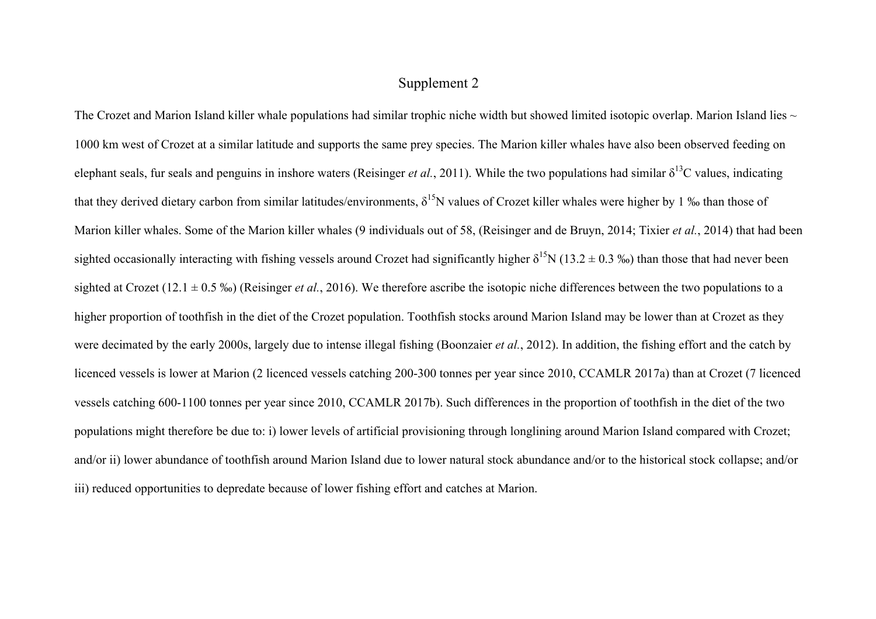# Supplement 2

The Crozet and Marion Island killer whale populations had similar trophic niche width but showed limited isotopic overlap. Marion Island lies  $\sim$ 1000 km west of Crozet at a similar latitude and supports the same prey species. The Marion killer whales have also been observed feeding on elephant seals, fur seals and penguins in inshore waters (Reisinger *et al.*, 2011). While the two populations had similar  $\delta^{13}$ C values, indicating that they derived dietary carbon from similar latitudes/environments,  $\delta^{15}N$  values of Crozet killer whales were higher by 1 ‰ than those of Marion killer whales. Some of the Marion killer whales (9 individuals out of 58, (Reisinger and de Bruyn, 2014; Tixier *et al.*, 2014) that had been sighted occasionally interacting with fishing vessels around Crozet had significantly higher  $\delta^{15}N$  (13.2  $\pm$  0.3 ‰) than those that had never been sighted at Crozet (12.1 ± 0.5 ‰) (Reisinger *et al.*, 2016). We therefore ascribe the isotopic niche differences between the two populations to a higher proportion of toothfish in the diet of the Crozet population. Toothfish stocks around Marion Island may be lower than at Crozet as they were decimated by the early 2000s, largely due to intense illegal fishing (Boonzaier *et al.*, 2012). In addition, the fishing effort and the catch by licenced vessels is lower at Marion (2 licenced vessels catching 200-300 tonnes per year since 2010, CCAMLR 2017a) than at Crozet (7 licenced vessels catching 600-1100 tonnes per year since 2010, CCAMLR 2017b). Such differences in the proportion of toothfish in the diet of the two populations might therefore be due to: i) lower levels of artificial provisioning through longlining around Marion Island compared with Crozet; and/or ii) lower abundance of toothfish around Marion Island due to lower natural stock abundance and/or to the historical stock collapse; and/or iii) reduced opportunities to depredate because of lower fishing effort and catches at Marion.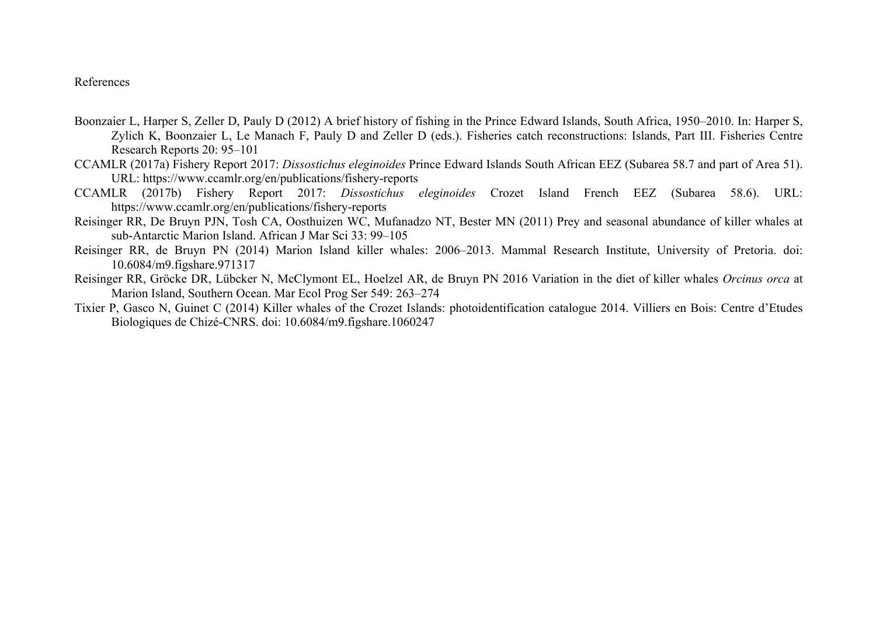#### References

- Boonzaier L, Harper S, Zeller D, Pauly D (2012) A brief history of fishing in the Prince Edward Islands, South Africa, 1950–2010. In: Harper S, Zylich K, Boonzaier L, Le Manach F, Pauly D and Zeller D (eds.). Fisheries catch reconstructions: Islands, Part III. Fisheries Centre Research Reports 20: 95–101
- CCAMLR (2017a) Fishery Report 2017: *Dissostichus eleginoides* Prince Edward Islands South African EEZ (Subarea 58.7 and part of Area 51). URL: https://www.ccamlr.org/en/publications/fishery-reports
- CCAMLR (2017b) Fishery Report 2017: *Dissostichus eleginoides* Crozet Island French EEZ (Subarea 58.6). URL: https://www.ccamlr.org/en/publications/fishery-reports
- Reisinger RR, De Bruyn PJN, Tosh CA, Oosthuizen WC, Mufanadzo NT, Bester MN (2011) Prey and seasonal abundance of killer whales at sub-Antarctic Marion Island. African J Mar Sci 33: 99–105
- Reisinger RR, de Bruyn PN (2014) Marion Island killer whales: 2006–2013. Mammal Research Institute, University of Pretoria. doi: 10.6084/m9.figshare.971317
- Reisinger RR, Gröcke DR, Lübcker N, McClymont EL, Hoelzel AR, de Bruyn PN 2016 Variation in the diet of killer whales *Orcinus orca* at Marion Island, Southern Ocean. Mar Ecol Prog Ser 549: 263–274
- Tixier P, Gasco N, Guinet C (2014) Killer whales of the Crozet Islands: photoidentification catalogue 2014. Villiers en Bois: Centre d'Etudes Biologiques de Chizé-CNRS. doi: 10.6084/m9.figshare.1060247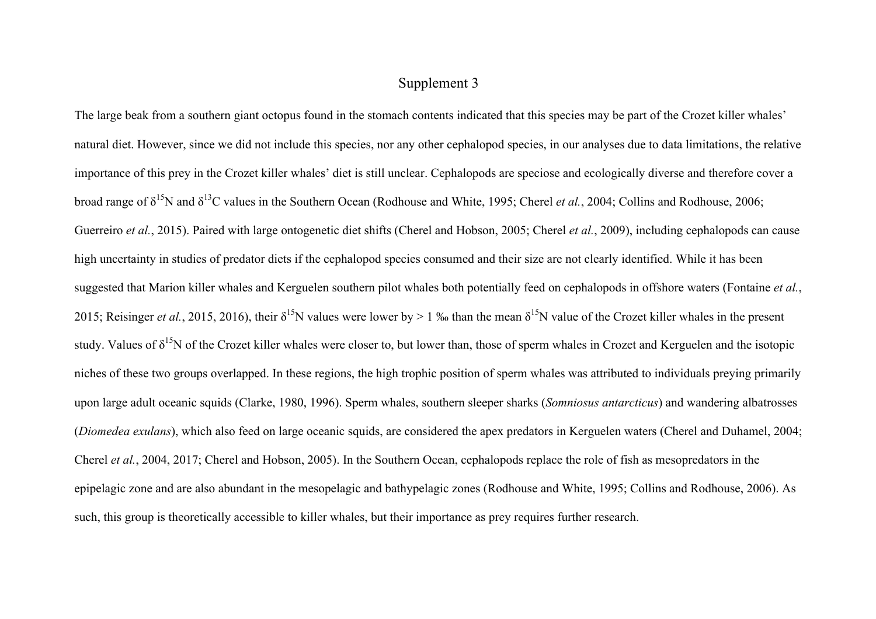# Supplement 3

The large beak from a southern giant octopus found in the stomach contents indicated that this species may be part of the Crozet killer whales' natural diet. However, since we did not include this species, nor any other cephalopod species, in our analyses due to data limitations, the relative importance of this prey in the Crozet killer whales' diet is still unclear. Cephalopods are speciose and ecologically diverse and therefore cover a broad range of δ15N and δ13C values in the Southern Ocean (Rodhouse and White, 1995; Cherel *et al.*, 2004; Collins and Rodhouse, 2006; Guerreiro *et al.*, 2015). Paired with large ontogenetic diet shifts (Cherel and Hobson, 2005; Cherel *et al.*, 2009), including cephalopods can cause high uncertainty in studies of predator diets if the cephalopod species consumed and their size are not clearly identified. While it has been suggested that Marion killer whales and Kerguelen southern pilot whales both potentially feed on cephalopods in offshore waters (Fontaine *et al.*, 2015; Reisinger *et al.*, 2015, 2016), their  $\delta^{15}N$  values were lower by > 1 % than the mean  $\delta^{15}N$  value of the Crozet killer whales in the present study. Values of  $\delta^{15}N$  of the Crozet killer whales were closer to, but lower than, those of sperm whales in Crozet and Kerguelen and the isotopic niches of these two groups overlapped. In these regions, the high trophic position of sperm whales was attributed to individuals preying primarily upon large adult oceanic squids (Clarke, 1980, 1996). Sperm whales, southern sleeper sharks (*Somniosus antarcticus*) and wandering albatrosses (*Diomedea exulans*), which also feed on large oceanic squids, are considered the apex predators in Kerguelen waters (Cherel and Duhamel, 2004; Cherel *et al.*, 2004, 2017; Cherel and Hobson, 2005). In the Southern Ocean, cephalopods replace the role of fish as mesopredators in the epipelagic zone and are also abundant in the mesopelagic and bathypelagic zones (Rodhouse and White, 1995; Collins and Rodhouse, 2006). As such, this group is theoretically accessible to killer whales, but their importance as prey requires further research.